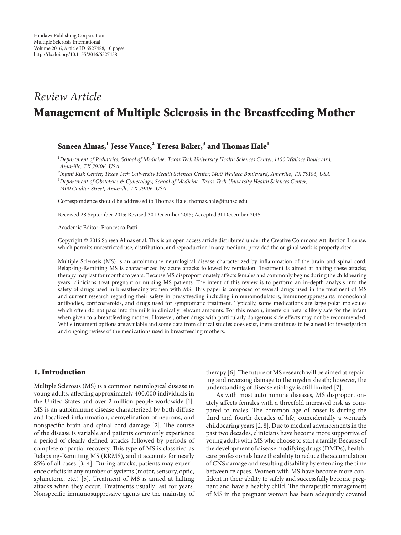# *Review Article* **Management of Multiple Sclerosis in the Breastfeeding Mother**

# **Saneea Almas,1 Jesse Vance,<sup>2</sup> Teresa Baker,3 and Thomas Hale<sup>1</sup>**

*1 Department of Pediatrics, School of Medicine, Texas Tech University Health Sciences Center, 1400 Wallace Boulevard, Amarillo, TX 79106, USA*

*2 Infant Risk Center, Texas Tech University Health Sciences Center, 1400 Wallace Boulevard, Amarillo, TX 79106, USA 3 Department of Obstetrics & Gynecology, School of Medicine, Texas Tech University Health Sciences Center, 1400 Coulter Street, Amarillo, TX 79106, USA*

Correspondence should be addressed to Thomas Hale; thomas.hale@ttuhsc.edu

Received 28 September 2015; Revised 30 December 2015; Accepted 31 December 2015

Academic Editor: Francesco Patti

Copyright © 2016 Saneea Almas et al. This is an open access article distributed under the Creative Commons Attribution License, which permits unrestricted use, distribution, and reproduction in any medium, provided the original work is properly cited.

Multiple Sclerosis (MS) is an autoimmune neurological disease characterized by inflammation of the brain and spinal cord. Relapsing-Remitting MS is characterized by acute attacks followed by remission. Treatment is aimed at halting these attacks; therapy may last for months to years. Because MS disproportionately affects females and commonly begins during the childbearing years, clinicians treat pregnant or nursing MS patients. The intent of this review is to perform an in-depth analysis into the safety of drugs used in breastfeeding women with MS. This paper is composed of several drugs used in the treatment of MS and current research regarding their safety in breastfeeding including immunomodulators, immunosuppressants, monoclonal antibodies, corticosteroids, and drugs used for symptomatic treatment. Typically, some medications are large polar molecules which often do not pass into the milk in clinically relevant amounts. For this reason, interferon beta is likely safe for the infant when given to a breastfeeding mother. However, other drugs with particularly dangerous side effects may not be recommended. While treatment options are available and some data from clinical studies does exist, there continues to be a need for investigation and ongoing review of the medications used in breastfeeding mothers.

# **1. Introduction**

Multiple Sclerosis (MS) is a common neurological disease in young adults, affecting approximately 400,000 individuals in the United States and over 2 million people worldwide [1]. MS is an autoimmune disease characterized by both diffuse and localized inflammation, demyelination of neurons, and nonspecific brain and spinal cord damage [2]. The course of the disease is variable and patients commonly experience a period of clearly defined attacks followed by periods of complete or partial recovery. This type of MS is classified as Relapsing-Remitting MS (RRMS), and it accounts for nearly 85% of all cases [3, 4]. During attacks, patients may experience deficits in any number of systems (motor, sensory, optic, sphincteric, etc.) [5]. Treatment of MS is aimed at halting attacks when they occur. Treatments usually last for years. Nonspecific immunosuppressive agents are the mainstay of therapy [6].The future of MS research will be aimed at repairing and reversing damage to the myelin sheath; however, the understanding of disease etiology is still limited [7].

As with most autoimmune diseases, MS disproportionately affects females with a threefold increased risk as compared to males. The common age of onset is during the third and fourth decades of life, coincidentally a woman's childbearing years [2, 8]. Due to medical advancements in the past two decades, clinicians have become more supportive of young adults with MS who choose to start a family. Because of the development of disease modifying drugs (DMDs), healthcare professionals have the ability to reduce the accumulation of CNS damage and resulting disability by extending the time between relapses. Women with MS have become more confident in their ability to safely and successfully become pregnant and have a healthy child. The therapeutic management of MS in the pregnant woman has been adequately covered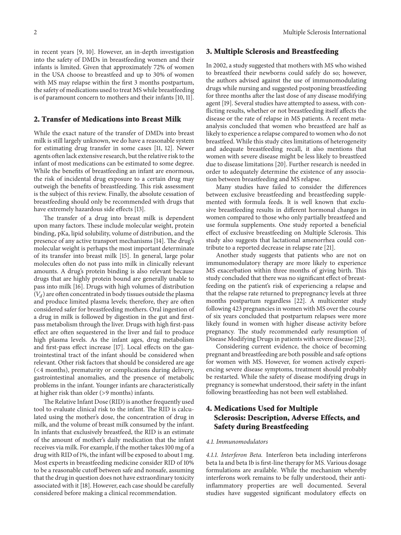in recent years [9, 10]. However, an in-depth investigation into the safety of DMDs in breastfeeding women and their infants is limited. Given that approximately 72% of women in the USA choose to breastfeed and up to 30% of women with MS may relapse within the first 3 months postpartum, the safety of medications used to treat MS while breastfeeding is of paramount concern to mothers and their infants [10, 11].

# **2. Transfer of Medications into Breast Milk**

While the exact nature of the transfer of DMDs into breast milk is still largely unknown, we do have a reasonable system for estimating drug transfer in some cases [11, 12]. Newer agents often lack extensive research, but the relative risk to the infant of most medications can be estimated to some degree. While the benefits of breastfeeding an infant are enormous, the risk of incidental drug exposure to a certain drug may outweigh the benefits of breastfeeding. This risk assessment is the subject of this review. Finally, the absolute cessation of breastfeeding should only be recommended with drugs that have extremely hazardous side effects [13].

The transfer of a drug into breast milk is dependent upon many factors. These include molecular weight, protein binding, pKa, lipid solubility, volume of distribution, and the presence of any active transport mechanisms [14]. The drug's molecular weight is perhaps the most important determinate of its transfer into breast milk [15]. In general, large polar molecules often do not pass into milk in clinically relevant amounts. A drug's protein binding is also relevant because drugs that are highly protein bound are generally unable to pass into milk [16]. Drugs with high volumes of distribution  $(V_d)$  are often concentrated in body tissues outside the plasma and produce limited plasma levels; therefore, they are often considered safer for breastfeeding mothers. Oral ingestion of a drug in milk is followed by digestion in the gut and firstpass metabolism through the liver. Drugs with high first-pass effect are often sequestered in the liver and fail to produce high plasma levels. As the infant ages, drug metabolism and first-pass effect increase [17]. Local effects on the gastrointestinal tract of the infant should be considered when relevant. Other risk factors that should be considered are age (<4 months), prematurity or complications during delivery, gastrointestinal anomalies, and the presence of metabolic problems in the infant. Younger infants are characteristically at higher risk than older (>9 months) infants.

The Relative Infant Dose (RID) is another frequently used tool to evaluate clinical risk to the infant. The RID is calculated using the mother's dose, the concentration of drug in milk, and the volume of breast milk consumed by the infant. In infants that exclusively breastfeed, the RID is an estimate of the amount of mother's daily medication that the infant receives via milk. For example, if the mother takes 100 mg of a drug with RID of 1%, the infant will be exposed to about 1 mg. Most experts in breastfeeding medicine consider RID of 10% to be a reasonable cutoff between safe and nonsafe, assuming that the drug in question does not have extraordinary toxicity associated with it [18]. However, each case should be carefully considered before making a clinical recommendation.

## **3. Multiple Sclerosis and Breastfeeding**

In 2002, a study suggested that mothers with MS who wished to breastfeed their newborns could safely do so; however, the authors advised against the use of immunomodulating drugs while nursing and suggested postponing breastfeeding for three months after the last dose of any disease modifying agent [19]. Several studies have attempted to assess, with conflicting results, whether or not breastfeeding itself affects the disease or the rate of relapse in MS patients. A recent metaanalysis concluded that women who breastfeed are half as likely to experience a relapse compared to women who do not breastfeed. While this study cites limitations of heterogeneity and adequate breastfeeding recall, it also mentions that women with severe disease might be less likely to breastfeed due to disease limitations [20]. Further research is needed in order to adequately determine the existence of any association between breastfeeding and MS relapse.

Many studies have failed to consider the differences between exclusive breastfeeding and breastfeeding supplemented with formula feeds. It is well known that exclusive breastfeeding results in different hormonal changes in women compared to those who only partially breastfeed and use formula supplements. One study reported a beneficial effect of exclusive breastfeeding on Multiple Sclerosis. This study also suggests that lactational amenorrhea could contribute to a reported decrease in relapse rate [21].

Another study suggests that patients who are not on immunomodulatory therapy are more likely to experience MS exacerbation within three months of giving birth. This study concluded that there was no significant effect of breastfeeding on the patient's risk of experiencing a relapse and that the relapse rate returned to prepregnancy levels at three months postpartum regardless [22]. A multicenter study following 423 pregnancies in women with MS over the course of six years concluded that postpartum relapses were more likely found in women with higher disease activity before pregnancy. The study recommended early resumption of Disease Modifying Drugs in patients with severe disease [23].

Considering current evidence, the choice of becoming pregnant and breastfeeding are both possible and safe options for women with MS. However, for women actively experiencing severe disease symptoms, treatment should probably be restarted. While the safety of disease modifying drugs in pregnancy is somewhat understood, their safety in the infant following breastfeeding has not been well established.

# **4. Medications Used for Multiple Sclerosis: Description, Adverse Effects, and Safety during Breastfeeding**

#### *4.1. Immunomodulators*

*4.1.1. Interferon Beta.* Interferon beta including interferons beta 1a and beta 1b is first-line therapy for MS. Various dosage formulations are available. While the mechanism whereby interferons work remains to be fully understood, their antiinflammatory properties are well documented. Several studies have suggested significant modulatory effects on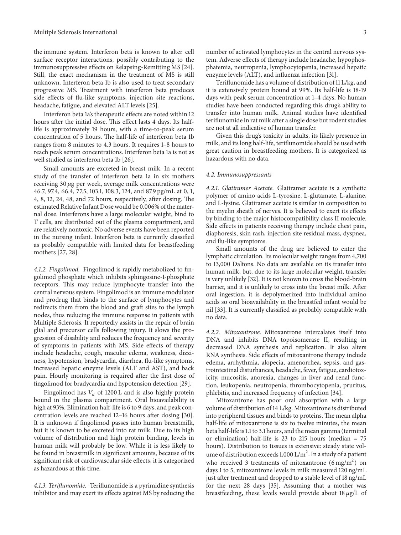the immune system. Interferon beta is known to alter cell surface receptor interactions, possibly contributing to the immunosuppressive effects on Relapsing-Remitting MS [24]. Still, the exact mechanism in the treatment of MS is still unknown. Interferon beta 1b is also used to treat secondary progressive MS. Treatment with interferon beta produces side effects of flu-like symptoms, injection site reactions, headache, fatigue, and elevated ALT levels [25].

Interferon beta 1a's therapeutic effects are noted within 12 hours after the initial dose. This effect lasts 4 days. Its halflife is approximately 19 hours, with a time-to-peak serum concentration of 5 hours. The half-life of interferon beta 1b ranges from 8 minutes to 4.3 hours. It requires 1–8 hours to reach peak serum concentrations. Interferon beta 1a is not as well studied as interferon beta 1b [26].

Small amounts are excreted in breast milk. In a recent study of the transfer of interferon beta 1a in six mothers receiving 30  $\mu$ g per week, average milk concentrations were 46.7, 97.4, 66.4, 77.5, 103.1, 108.3, 124, and 87.9 pg/mL at 0, 1, 4, 8, 12, 24, 48, and 72 hours, respectively, after dosing. The estimated Relative Infant Dose would be 0.006% of the maternal dose. Interferons have a large molecular weight, bind to T cells, are distributed out of the plasma compartment, and are relatively nontoxic. No adverse events have been reported in the nursing infant. Interferon beta is currently classified as probably compatible with limited data for breastfeeding mothers [27, 28].

*4.1.2. Fingolimod.* Fingolimod is rapidly metabolized to fingolimod phosphate which inhibits sphingosine-1-phosphate receptors. This may reduce lymphocyte transfer into the central nervous system. Fingolimod is an immune modulator and prodrug that binds to the surface of lymphocytes and redirects them from the blood and graft sites to the lymph nodes, thus reducing the immune response in patients with Multiple Sclerosis. It reportedly assists in the repair of brain glial and precursor cells following injury. It slows the progression of disability and reduces the frequency and severity of symptoms in patients with MS. Side effects of therapy include headache, cough, macular edema, weakness, dizziness, hypotension, bradycardia, diarrhea, flu-like symptoms, increased hepatic enzyme levels (ALT and AST), and back pain. Hourly monitoring is required after the first dose of fingolimod for bradycardia and hypotension detection [29].

Fingolimod has  $V_d$  of 1200 L and is also highly protein bound in the plasma compartment. Oral bioavailability is high at 93%. Elimination half-life is 6 to 9 days, and peak concentration levels are reached 12–16 hours after dosing [30]. It is unknown if fingolimod passes into human breastmilk, but it is known to be excreted into rat milk. Due to its high volume of distribution and high protein binding, levels in human milk will probably be low. While it is less likely to be found in breastmilk in significant amounts, because of its significant risk of cardiovascular side effects, it is categorized as hazardous at this time.

*4.1.3. Teriflunomide.* Teriflunomide is a pyrimidine synthesis inhibitor and may exert its effects against MS by reducing the enzyme levels (ALT), and influenza infection [31]. Teriflunomide has a volume of distribution of 11 L/kg, and it is extensively protein bound at 99%. Its half-life is 18-19 days with peak serum concentration at 1–4 days. No human studies have been conducted regarding this drug's ability to transfer into human milk. Animal studies have identified teriflunomide in rat milk after a single dose but rodent studies are not at all indicative of human transfer.

Given this drug's toxicity in adults, its likely presence in milk, and its long half-life, teriflunomide should be used with great caution in breastfeeding mothers. It is categorized as hazardous with no data.

#### *4.2. Immunosuppressants*

*4.2.1. Glatiramer Acetate.* Glatiramer acetate is a synthetic polymer of amino acids L-tyrosine, L-glutamate, L-alanine, and L-lysine. Glatiramer acetate is similar in composition to the myelin sheath of nerves. It is believed to exert its effects by binding to the major histocompatibility class II molecule. Side effects in patients receiving therapy include chest pain, diaphoresis, skin rash, injection site residual mass, dyspnea, and flu-like symptoms.

Small amounts of the drug are believed to enter the lymphatic circulation*.*Its molecular weight ranges from 4,700 to 13,000 Daltons. No data are available on its transfer into human milk, but, due to its large molecular weight, transfer is very unlikely [32]. It is not known to cross the blood-brain barrier, and it is unlikely to cross into the breast milk. After oral ingestion, it is depolymerized into individual amino acids so oral bioavailability in the breastfed infant would be nil [33]. It is currently classified as probably compatible with no data.

*4.2.2. Mitoxantrone.* Mitoxantrone intercalates itself into DNA and inhibits DNA topoisomerase II, resulting in decreased DNA synthesis and replication. It also alters RNA synthesis. Side effects of mitoxantrone therapy include edema, arrhythmia, alopecia, amenorrhea, sepsis, and gastrointestinal disturbances, headache, fever, fatigue, cardiotoxicity, mucositis, anorexia, changes in liver and renal function, leukopenia, neutropenia, thrombocytopenia, pruritus, phlebitis, and increased frequency of infection [34].

Mitoxantrone has poor oral absorption with a large volume of distribution of 14 L/kg. Mitoxantrone is distributed into peripheral tissues and binds to proteins. The mean alpha half-life of mitoxantrone is six to twelve minutes, the mean beta half-life is 1.1 to 3.1 hours, and the mean gamma (terminal or elimination) half-life is 23 to 215 hours (median = 75 hours). Distribution to tissues is extensive: steady state volume of distribution exceeds  $1,000$   $L/m<sup>2</sup>$ . In a study of a patient who received 3 treatments of mitoxantrone  $(6 \text{ mg/m}^2)$  on days 1 to 5, mitoxantrone levels in milk measured 120 ng/mL just after treatment and dropped to a stable level of 18 ng/mL for the next 28 days [35]. Assuming that a mother was breastfeeding, these levels would provide about  $18 \mu g/L$  of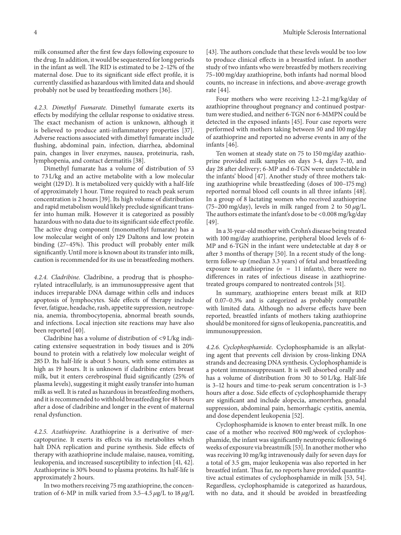milk consumed after the first few days following exposure to the drug. In addition, it would be sequestered for long periods in the infant as well. The RID is estimated to be 2–12% of the maternal dose. Due to its significant side effect profile, it is currently classified as hazardous with limited data and should probably not be used by breastfeeding mothers [36].

*4.2.3. Dimethyl Fumarate.* Dimethyl fumarate exerts its effects by modifying the cellular response to oxidative stress. The exact mechanism of action is unknown, although it is believed to produce anti-inflammatory properties [37]. Adverse reactions associated with dimethyl fumarate include flushing, abdominal pain, infection, diarrhea, abdominal pain, changes in liver enzymes, nausea, proteinuria, rash, lymphopenia, and contact dermatitis [38].

Dimethyl fumarate has a volume of distribution of 53 to 73 L/kg and an active metabolite with a low molecular weight (129 D). It is metabolized very quickly with a half-life of approximately 1 hour. Time required to reach peak serum concentration is 2 hours [39]. Its high volume of distribution and rapid metabolism would likely preclude significant transfer into human milk. However it is categorized as possibly hazardous with no data due to its significant side effect profile. The active drug component (monomethyl fumarate) has a low molecular weight of only 129 Daltons and low protein binding (27–45%). This product will probably enter milk significantly. Until more is known about its transfer into milk, caution is recommended for its use in breastfeeding mothers.

*4.2.4. Cladribine.* Cladribine, a prodrug that is phosphorylated intracellularly, is an immunosuppressive agent that induces irreparable DNA damage within cells and induces apoptosis of lymphocytes. Side effects of therapy include fever, fatigue, headache, rash, appetite suppression, neutropenia, anemia, thrombocytopenia, abnormal breath sounds, and infections. Local injection site reactions may have also been reported [40].

Cladribine has a volume of distribution of <9 L/kg indicating extensive sequestration in body tissues and is 20% bound to protein with a relatively low molecular weight of 285 D. Its half-life is about 5 hours, with some estimates as high as 19 hours. It is unknown if cladribine enters breast milk, but it enters cerebrospinal fluid significantly (25% of plasma levels), suggesting it might easily transfer into human milk as well. It is rated as hazardous in breastfeeding mothers, and it is recommended to withhold breastfeeding for 48 hours after a dose of cladribine and longer in the event of maternal renal dysfunction.

*4.2.5. Azathioprine.* Azathioprine is a derivative of mercaptopurine. It exerts its effects via its metabolites which halt DNA replication and purine synthesis. Side effects of therapy with azathioprine include malaise, nausea, vomiting, leukopenia, and increased susceptibility to infection [41, 42]. Azathioprine is 30% bound to plasma proteins. Its half-life is approximately 2 hours.

In two mothers receiving 75 mg azathioprine, the concentration of 6-MP in milk varied from 3.5-4.5  $\mu$ g/L to 18  $\mu$ g/L [43]. The authors conclude that these levels would be too low to produce clinical effects in a breastfed infant. In another study of two infants who were breastfed by mothers receiving 75–100 mg/day azathioprine, both infants had normal blood counts, no increase in infections, and above-average growth rate [44].

Four mothers who were receiving 1.2–2.1 mg/kg/day of azathioprine throughout pregnancy and continued postpartum were studied, and neither 6-TGN nor 6-MMPN could be detected in the exposed infants [45]. Four case reports were performed with mothers taking between 50 and 100 mg/day of azathioprine and reported no adverse events in any of the infants [46].

Ten women at steady state on 75 to 150 mg/day azathioprine provided milk samples on days 3-4, days 7–10, and day 28 after delivery; 6-MP and 6-TGN were undetectable in the infants' blood [47]. Another study of three mothers taking azathioprine while breastfeeding (doses of 100–175 mg) reported normal blood cell counts in all three infants [48]. In a group of 8 lactating women who received azathioprine (75–200 mg/day), levels in milk ranged from 2 to 50  $\mu$ g/L. The authors estimate the infant's dose to be <0.008 mg/kg/day [49].

In a 31-year-old mother with Crohn's disease being treated with 100 mg/day azathioprine, peripheral blood levels of 6- MP and 6-TGN in the infant were undetectable at day 8 or after 3 months of therapy [50]. In a recent study of the longterm follow-up (median 3.3 years) of fetal and breastfeeding exposure to azathioprine  $(n = 11 \text{ infants})$ , there were no differences in rates of infectious disease in azathioprinetreated groups compared to nontreated controls [51].

In summary, azathioprine enters breast milk at RID of 0.07–0.3% and is categorized as probably compatible with limited data. Although no adverse effects have been reported, breastfed infants of mothers taking azathioprine should be monitored for signs of leukopenia, pancreatitis, and immunosuppression.

*4.2.6. Cyclophosphamide.* Cyclophosphamide is an alkylating agent that prevents cell division by cross-linking DNA strands and decreasing DNA synthesis. Cyclophosphamide is a potent immunosuppressant. It is well absorbed orally and has a volume of distribution from 30 to 50 L/kg. Half-life is 3–12 hours and time-to-peak serum concentration is 1–3 hours after a dose. Side effects of cyclophosphamide therapy are significant and include alopecia, amenorrhea, gonadal suppression, abdominal pain, hemorrhagic cystitis, anemia, and dose dependent leukopenia [52].

Cyclophosphamide is known to enter breast milk. In one case of a mother who received 800 mg/week of cyclophosphamide, the infant was significantly neutropenic following 6 weeks of exposure via breastmilk [53]. In another mother who was receiving 10 mg/kg intravenously daily for seven days for a total of 3.5 gm, major leukopenia was also reported in her breastfed infant. Thus far, no reports have provided quantitative actual estimates of cyclophosphamide in milk [53, 54]. Regardless, cyclophosphamide is categorized as hazardous, with no data, and it should be avoided in breastfeeding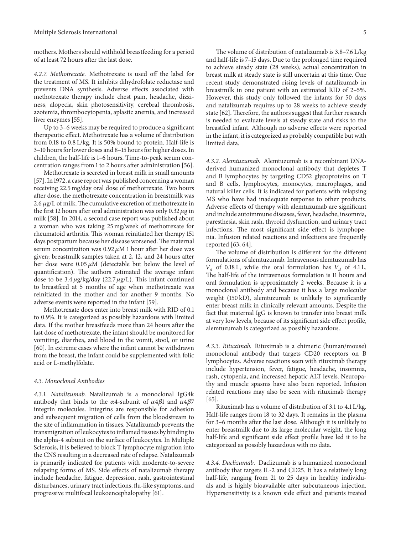mothers. Mothers should withhold breastfeeding for a period of at least 72 hours after the last dose.

*4.2.7. Methotrexate.* Methotrexate is used off the label for the treatment of MS. It inhibits dihydrofolate reductase and prevents DNA synthesis. Adverse effects associated with methotrexate therapy include chest pain, headache, dizziness, alopecia, skin photosensitivity, cerebral thrombosis, azotemia, thrombocytopenia, aplastic anemia, and increased liver enzymes [55].

Up to 3–6 weeks may be required to produce a significant therapeutic effect. Methotrexate has a volume of distribution from 0.18 to 0.8 L/kg. It is 50% bound to protein. Half-life is 3–10 hours for lower doses and 8–15 hours for higher doses. In children, the half-life is 1–6 hours. Time-to-peak serum concentration ranges from 1 to 2 hours after administration [56].

Methotrexate is secreted in breast milk in small amounts [57]. In 1972, a case report was published concerning a woman receiving 22.5 mg/day oral dose of methotrexate. Two hours after dose, the methotrexate concentration in breastmilk was 2.6  $\mu$ g/L of milk. The cumulative excretion of methotrexate in the first 12 hours after oral administration was only 0.32  $\mu$ g in milk [58]. In 2014, a second case report was published about a woman who was taking 25 mg/week of methotrexate for rheumatoid arthritis. This woman reinitiated her therapy 151 days postpartum because her disease worsened. The maternal serum concentration was  $0.92 \mu M$  1 hour after her dose was given; breastmilk samples taken at 2, 12, and 24 hours after her dose were  $0.05 \mu M$  (detectable but below the level of quantification). The authors estimated the average infant dose to be 3.4  $\mu$ g/kg/day (22.7  $\mu$ g/L). This infant continued to breastfeed at 5 months of age when methotrexate was reinitiated in the mother and for another 9 months. No adverse events were reported in the infant [59].

Methotrexate does enter into breast milk with RID of 0.1 to 0.9%. It is categorized as possibly hazardous with limited data. If the mother breastfeeds more than 24 hours after the last dose of methotrexate, the infant should be monitored for vomiting, diarrhea, and blood in the vomit, stool, or urine [60]. In extreme cases where the infant cannot be withdrawn from the breast, the infant could be supplemented with folic acid or L-methylfolate.

#### *4.3. Monoclonal Antibodies*

*4.3.1. Natalizumab.* Natalizumab is a monoclonal IgG4k antibody that binds to the  $\alpha$ 4-subunit of  $\alpha$ 4 $\beta$ 1 and  $\alpha$ 4 $\beta$ 7 integrin molecules. Integrins are responsible for adhesion and subsequent migration of cells from the bloodstream to the site of inflammation in tissues. Natalizumab prevents the transmigration of leukocytes to inflamed tissues by binding to the alpha-4 subunit on the surface of leukocytes. In Multiple Sclerosis, it is believed to block T lymphocyte migration into the CNS resulting in a decreased rate of relapse. Natalizumab is primarily indicated for patients with moderate-to-severe relapsing forms of MS. Side effects of natalizumab therapy include headache, fatigue, depression, rash, gastrointestinal disturbances, urinary tract infections, flu-like symptoms, and progressive multifocal leukoencephalopathy [61].

The volume of distribution of natalizumab is 3.8–7.6 L/kg and half-life is 7–15 days. Due to the prolonged time required to achieve steady state (28 weeks), actual concentration in breast milk at steady state is still uncertain at this time. One recent study demonstrated rising levels of natalizumab in breastmilk in one patient with an estimated RID of 2–5%. However, this study only followed the infants for 50 days and natalizumab requires up to 28 weeks to achieve steady state [62]. Therefore, the authors suggest that further research is needed to evaluate levels at steady state and risks to the breastfed infant. Although no adverse effects were reported in the infant, it is categorized as probably compatible but with limited data.

*4.3.2. Alemtuzumab.* Alemtuzumab is a recombinant DNAderived humanized monoclonal antibody that depletes T and B lymphocytes by targeting CD52 glycoproteins on T and B cells, lymphocytes, monocytes, macrophages, and natural killer cells. It is indicated for patients with relapsing MS who have had inadequate response to other products. Adverse effects of therapy with alemtuzumab are significant and include autoimmune diseases, fever, headache, insomnia, paresthesia, skin rash, thyroid dysfunction, and urinary tract infections. The most significant side effect is lymphopenia. Infusion related reactions and infections are frequently reported [63, 64].

The volume of distribution is different for the different formulations of alemtuzumab. Intravenous alemtuzumab has  $V_d$  of 0.18 L, while the oral formulation has  $V_d$  of 4.1 L. The half-life of the intravenous formulation is 11 hours and oral formulation is approximately 2 weeks. Because it is a monoclonal antibody and because it has a large molecular weight (150 kD), alemtuzumab is unlikely to significantly enter breast milk in clinically relevant amounts. Despite the fact that maternal IgG is known to transfer into breast milk at very low levels, because of its significant side effect profile, alemtuzumab is categorized as possibly hazardous.

*4.3.3. Rituximab.* Rituximab is a chimeric (human/mouse) monoclonal antibody that targets CD20 receptors on B lymphocytes. Adverse reactions seen with rituximab therapy include hypertension, fever, fatigue, headache, insomnia, rash, cytopenia, and increased hepatic ALT levels. Neuropathy and muscle spasms have also been reported. Infusion related reactions may also be seen with rituximab therapy  $|65|$ .

Rituximab has a volume of distribution of 3.1 to 4.1 L/kg. Half-life ranges from 18 to 32 days. It remains in the plasma for 3–6 months after the last dose. Although it is unlikely to enter breastmilk due to its large molecular weight, the long half-life and significant side effect profile have led it to be categorized as possibly hazardous with no data.

*4.3.4. Daclizumab.* Daclizumab is a humanized monoclonal antibody that targets IL-2 and CD25. It has a relatively long half-life, ranging from 21 to 25 days in healthy individuals and is highly bioavailable after subcutaneous injection. Hypersensitivity is a known side effect and patients treated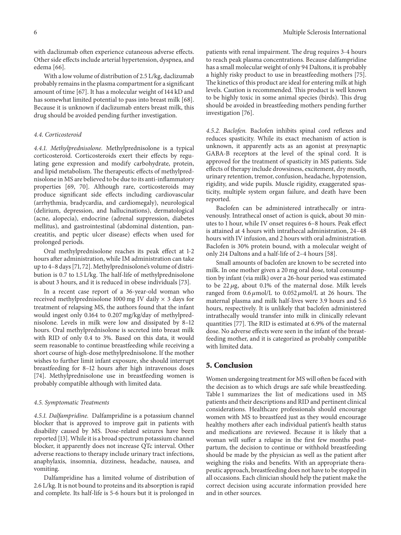with daclizumab often experience cutaneous adverse effects. Other side effects include arterial hypertension, dyspnea, and edema [66].

With a low volume of distribution of 2.5 L/kg, daclizumab probably remains in the plasma compartment for a significant amount of time [67]. It has a molecular weight of 144 kD and has somewhat limited potential to pass into breast milk [68]. Because it is unknown if daclizumab enters breast milk, this drug should be avoided pending further investigation.

#### *4.4. Corticosteroid*

*4.4.1. Methylprednisolone.* Methylprednisolone is a typical corticosteroid. Corticosteroids exert their effects by regulating gene expression and modify carbohydrate, protein, and lipid metabolism. The therapeutic effects of methylprednisolone in MS are believed to be due to its anti-inflammatory properties [69, 70]. Although rare, corticosteroids may produce significant side effects including cardiovascular (arrhythmia, bradycardia, and cardiomegaly), neurological (delirium, depression, and hallucinations), dermatological (acne, alopecia), endocrine (adrenal suppression, diabetes mellitus), and gastrointestinal (abdominal distention, pancreatitis, and peptic ulcer disease) effects when used for prolonged periods.

Oral methylprednisolone reaches its peak effect at 1-2 hours after administration, while IM administration can take up to 4–8 days [71, 72]. Methylprednisolone's volume of distribution is 0.7 to 1.5 L/kg. The half-life of methylprednisolone is about 3 hours, and it is reduced in obese individuals [73].

In a recent case report of a 36-year-old woman who received methylprednisolone 1000 mg IV daily  $\times$  3 days for treatment of relapsing MS, the authors found that the infant would ingest only 0.164 to 0.207 mg/kg/day of methylprednisolone. Levels in milk were low and dissipated by 8–12 hours. Oral methylprednisolone is secreted into breast milk with RID of only 0.4 to 3%. Based on this data, it would seem reasonable to continue breastfeeding while receiving a short course of high-dose methylprednisolone. If the mother wishes to further limit infant exposure, she should interrupt breastfeeding for 8–12 hours after high intravenous doses [74]. Methylprednisolone use in breastfeeding women is probably compatible although with limited data.

#### *4.5. Symptomatic Treatments*

*4.5.1. Dalfampridine.* Dalfampridine is a potassium channel blocker that is approved to improve gait in patients with disability caused by MS. Dose-related seizures have been reported [13]. While it is a broad spectrum potassium channel blocker, it apparently does not increase QTc interval. Other adverse reactions to therapy include urinary tract infections, anaphylaxis, insomnia, dizziness, headache, nausea, and vomiting.

Dalfampridine has a limited volume of distribution of 2.6 L/kg. It is not bound to proteins and its absorption is rapid and complete. Its half-life is 5-6 hours but it is prolonged in

patients with renal impairment. The drug requires 3-4 hours to reach peak plasma concentrations. Because dalfampridine has a small molecular weight of only 94 Daltons, it is probably a highly risky product to use in breastfeeding mothers [75]. The kinetics of this product are ideal for entering milk at high levels. Caution is recommended. This product is well known to be highly toxic in some animal species (birds). This drug should be avoided in breastfeeding mothers pending further investigation [76].

*4.5.2. Baclofen.* Baclofen inhibits spinal cord reflexes and reduces spasticity. While its exact mechanism of action is unknown, it apparently acts as an agonist at presynaptic GABA-B receptors at the level of the spinal cord. It is approved for the treatment of spasticity in MS patients. Side effects of therapy include drowsiness, excitement, dry mouth, urinary retention, tremor, confusion, headache, hypotension, rigidity, and wide pupils. Muscle rigidity, exaggerated spasticity, multiple system organ failure, and death have been reported.

Baclofen can be administered intrathecally or intravenously. Intrathecal onset of action is quick, about 30 minutes to 1 hour, while IV onset requires 6–8 hours. Peak effect is attained at 4 hours with intrathecal administration, 24–48 hours with IV infusion, and 2 hours with oral administration. Baclofen is 30% protein bound, with a molecular weight of only 214 Daltons and a half-life of 2–4 hours [58].

Small amounts of baclofen are known to be secreted into milk. In one mother given a 20 mg oral dose, total consumption by infant (via milk) over a 26-hour period was estimated to be  $22 \mu$ g, about 0.1% of the maternal dose. Milk levels ranged from  $0.6 \mu$ mol/L to  $0.052 \mu$ mol/L at 26 hours. The maternal plasma and milk half-lives were 3.9 hours and 5.6 hours, respectively. It is unlikely that baclofen administered intrathecally would transfer into milk in clinically relevant quantities [77]. The RID is estimated at 6.9% of the maternal dose. No adverse effects were seen in the infant of the breastfeeding mother, and it is categorized as probably compatible with limited data.

# **5. Conclusion**

Women undergoing treatment for MS will often be faced with the decision as to which drugs are safe while breastfeeding. Table 1 summarizes the list of medications used in MS patients and their descriptions and RID and pertinent clinical considerations. Healthcare professionals should encourage women with MS to breastfeed just as they would encourage healthy mothers after each individual patient's health status and medications are reviewed. Because it is likely that a woman will suffer a relapse in the first few months postpartum, the decision to continue or withhold breastfeeding should be made by the physician as well as the patient after weighing the risks and benefits. With an appropriate therapeutic approach, breastfeeding does not have to be stopped in all occasions. Each clinician should help the patient make the correct decision using accurate information provided here and in other sources.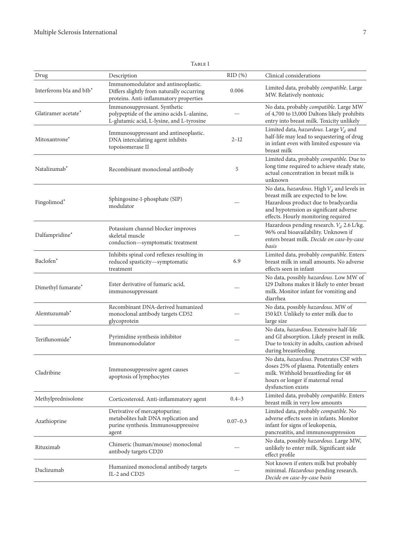| Drug                     | Description                                                                                                                | $RID(\%)$    | Clinical considerations                                                                                                                                                                                              |
|--------------------------|----------------------------------------------------------------------------------------------------------------------------|--------------|----------------------------------------------------------------------------------------------------------------------------------------------------------------------------------------------------------------------|
| Interferons bla and blb* | Immunomodulator and antineoplastic.<br>Differs slightly from naturally occurring<br>proteins. Anti-inflammatory properties | 0.006        | Limited data, probably <i>compatible</i> . Large<br>MW. Relatively nontoxic                                                                                                                                          |
| Glatiramer acetate*      | Immunosuppressant. Synthetic<br>polypeptide of the amino acids L-alanine,<br>L-glutamic acid, L-lysine, and L-tyrosine     |              | No data, probably compatible. Large MW<br>of 4,700 to 13,000 Daltons likely prohibits<br>entry into breast milk. Toxicity unlikely                                                                                   |
| Mitoxantrone*            | Immunosuppressant and antineoplastic.<br>DNA intercalating agent inhibits<br>topoisomerase II                              | $2 - 12$     | Limited data, <i>hazardous</i> . Large $V_d$ and<br>half-life may lead to sequestering of drug<br>in infant even with limited exposure via<br>breast milk                                                            |
| Natalizumab*             | Recombinant monoclonal antibody                                                                                            | 5            | Limited data, probably compatible. Due to<br>long time required to achieve steady state,<br>actual concentration in breast milk is<br>unknown                                                                        |
| Fingolimod*              | Sphingosine-1-phosphate (SIP)<br>modulator                                                                                 |              | No data, <i>hazardous</i> . High $V_d$ and levels in<br>breast milk are expected to be low.<br>Hazardous product due to bradycardia<br>and hypotension as significant adverse<br>effects. Hourly monitoring required |
| Dalfampridine*           | Potassium channel blocker improves<br>skeletal muscle<br>conduction-symptomatic treatment                                  |              | Hazardous pending research. $V_d$ 2.6 L/kg.<br>96% oral bioavailability. Unknown if<br>enters breast milk. Decide on case-by-case<br>basis                                                                           |
| Baclofen*                | Inhibits spinal cord reflexes resulting in<br>reduced spasticity-symptomatic<br>treatment                                  | 6.9          | Limited data, probably compatible. Enters<br>breast milk in small amounts. No adverse<br>effects seen in infant                                                                                                      |
| Dimethyl fumarate*       | Ester derivative of fumaric acid,<br>immunosuppressant                                                                     |              | No data, possibly hazardous. Low MW of<br>129 Daltons makes it likely to enter breast<br>milk. Monitor infant for vomiting and<br>diarrhea                                                                           |
| Alemtuzumab*             | Recombinant DNA-derived humanized<br>monoclonal antibody targets CD52<br>glycoprotein                                      |              | No data, possibly hazardous. MW of<br>150 kD. Unlikely to enter milk due to<br>large size                                                                                                                            |
| Teriflunomide*           | Pyrimidine synthesis inhibitor<br>Immunomodulator                                                                          |              | No data, hazardous. Extensive half-life<br>and GI absorption. Likely present in milk.<br>Due to toxicity in adults, caution advised<br>during breastfeeding                                                          |
| Cladribine               | Immunosuppressive agent causes<br>apoptosis of lymphocytes                                                                 |              | No data, hazardous. Penetrates CSF with<br>doses 25% of plasma. Potentially enters<br>milk. Withhold breastfeeding for 48<br>hours or longer if maternal renal<br>dysfunction exists                                 |
| Methylprednisolone       | Corticosteroid. Anti-inflammatory agent                                                                                    | $0.4 - 3$    | Limited data, probably compatible. Enters<br>breast milk in very low amounts                                                                                                                                         |
| Azathioprine             | Derivative of mercaptopurine;<br>metabolites halt DNA replication and<br>purine synthesis. Immunosuppressive<br>agent      | $0.07 - 0.3$ | Limited data, probably compatible. No<br>adverse effects seen in infants. Monitor<br>infant for signs of leukopenia,<br>pancreatitis, and immunosuppression                                                          |
| Rituximab                | Chimeric (human/mouse) monoclonal<br>antibody targets CD20                                                                 |              | No data, possibly hazardous. Large MW,<br>unlikely to enter milk. Significant side<br>effect profile                                                                                                                 |
| Daclizumab               | Humanized monoclonal antibody targets<br>IL-2 and CD25                                                                     |              | Not known if enters milk but probably<br>minimal. Hazardous pending research.<br>Decide on case-by-case basis                                                                                                        |

# Table 1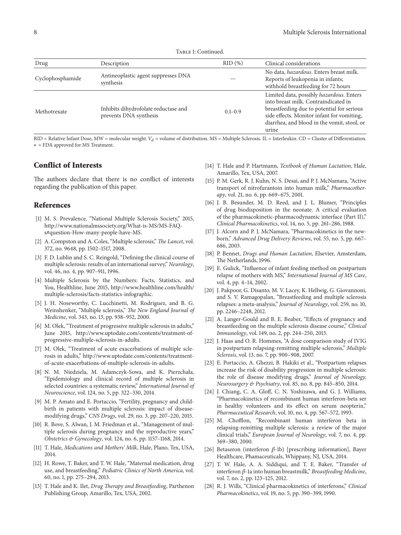TABLE 1: Continued.

| Drug             | Description                                                    | $RID(\%)$   | Clinical considerations                                                                                                                                                                                                              |
|------------------|----------------------------------------------------------------|-------------|--------------------------------------------------------------------------------------------------------------------------------------------------------------------------------------------------------------------------------------|
| Cyclophosphamide | Antineoplastic agent suppresses DNA<br>synthesis               |             | No data, hazardous. Enters breast milk.<br>Reports of leukopenia in infants;<br>withhold breastfeeding for 72 hours                                                                                                                  |
| Methotrexate     | Inhibits dihydrofolate reductase and<br>prevents DNA synthesis | $0.1 - 0.9$ | Limited data, possibly hazardous. Enters<br>into breast milk. Contraindicated in<br>breastfeeding due to potential for serious<br>side effects. Monitor infant for vomiting,<br>diarrhea, and blood in the vomit, stool, or<br>urine |

 $RID = Relative Infant Does, MW = molecular weight. V<sub>d</sub> = volume of distribution. MS = Multiple Sclerosis. IL = Interleukin. CD = Cluster of Differentiation.$ ∗ = FDA approved for MS Treatment.

# **Conflict of Interests**

The authors declare that there is no conflict of interests regarding the publication of this paper.

## **References**

- [1] M. S. Prevalence, "National Multiple Sclerosis Society," 2015, http://www.nationalmssociety.org/What-is-MS/MS-FAQs#question-How-many-people-have-MS.
- [2] A. Compston and A. Coles, "Multiple sclerosis," *The Lancet*, vol. 372, no. 9648, pp. 1502–1517, 2008.
- [3] F. D. Lublin and S. C. Reingold, "Defining the clinical course of multiple sclerosis: results of an international survey," *Neurology*, vol. 46, no. 4, pp. 907–911, 1996.
- [4] Multiple Sclerosis by the Numbers: Facts, Statistics, and You, Healthline, June 2015, http://www.healthline.com/health/ multiple-sclerosis/facts-statistics-infographic.
- [5] J. H. Noseworthy, C. Lucchinetti, M. Rodriguez, and B. G. Weinshenker, "Multiple sclerosis," *The New England Journal of Medicine*, vol. 343, no. 13, pp. 938–952, 2000.
- [6] M. Olek, "Treatment of progressive multiple sclerosis in adults," June 2015, http://www.uptodate.com/contents/treatment-ofprogressive-multiple-sclerosis-in-adults.
- [7] M. Olek, "Treatment of acute exacerbations of multiple sclerosis in adults," http://www.uptodate.com/contents/treatmentof-acute-exacerbations-of-multiple-sclerosis-in-adults.
- [8] N. M. Niedziela, M. Adamczyk-Sowa, and K. Pierzchała, "Epidemiology and clinical record of multiple sclerosis in selected countries: a systematic review," *International Journal of Neuroscience*, vol. 124, no. 5, pp. 322–330, 2014.
- [9] M. P. Amato and E. Portaccio, "Fertility, pregnancy and childbirth in patients with multiple sclerosis: impact of diseasemodifying drugs," *CNS Drugs*, vol. 29, no. 3, pp. 207–220, 2015.
- [10] R. Bove, S. Alwan, J. M. Friedman et al., "Management of multiple sclerosis during pregnancy and the reproductive years," *Obstetrics & Gynecology*, vol. 124, no. 6, pp. 1157–1168, 2014.
- [11] T. Hale, *Medications and Mothers' Milk*, Hale, Plano, Tex, USA, 2014.
- [12] H. Rowe, T. Baker, and T. W. Hale, "Maternal medication, drug use, and breastfeeding," *Pediatric Clinics of North America*, vol. 60, no. 1, pp. 275–294, 2013.
- [13] T. Hale and K. Ilet, *Drug Therapy and Breastfeeding*, Parthenon Publishing Group, Amarillo, Tex, USA, 2002.
- [14] T. Hale and P. Hartmann, *Textbook of Human Lactation*, Hale, Amarillo, Tex, USA, 2007.
- [15] P. M. Gerk, R. J. Kuhn, N. S. Desai, and P. J. McNamara, "Active transport of nitrofurantoin into human milk," *Pharmacotherapy*, vol. 21, no. 6, pp. 669–675, 2001.
- [16] J. B. Besunder, M. D. Reed, and J. L. Blumer, "Principles of drug biodisposition in the neonate. A critical evaluation of the pharmacokinetic-pharmacodynamic interface (Part II)," *Clinical Pharmacokinetics*, vol. 14, no. 5, pp. 261–286, 1988.
- [17] J. Alcorn and P. J. McNamara, "Pharmacokinetics in the newborn," *Advanced Drug Delivery Reviews*, vol. 55, no. 5, pp. 667– 686, 2003.
- [18] P. Bennet, *Drugs and Human Lactation*, Elsevier, Amsterdam, The Netherlands, 1996.
- [19] E. Gulick, "Influence of infant feeding method on postpartum relapse of mothers with MS," *International Journal of MS Care*, vol. 4, pp. 4–14, 2002.
- [20] J. Pakpoor, G. Disanto, M. V. Lacey, K. Hellwig, G. Giovannoni, and S. V. Ramagopalan, "Breastfeeding and multiple sclerosis relapses: a meta-analysis," *Journal of Neurology*, vol. 259, no. 10, pp. 2246–2248, 2012.
- [21] A. Langer-Gould and B. E. Beaber, "Effects of pregnancy and breastfeeding on the multiple sclerosis disease course," *Clinical Immunology*, vol. 149, no. 2, pp. 244–250, 2013.
- [22] J. Haas and O. R. Hommes, "A dose comparison study of IVIG in postpartum relapsing-remitting multiple sclerosis," *Multiple Sclerosis*, vol. 13, no. 7, pp. 900–908, 2007.
- [23] E. Portaccio, A. Ghezzi, B. Hakiki et al., "Postpartum relapses increase the risk of disability progression in multiple sclerosis: the role of disease modifying drugs," *Journal of Neurology, Neurosurgery & Psychiatry*, vol. 85, no. 8, pp. 845–850, 2014.
- [24] J. Chiang, C. A. Gloff, C. N. Yoshizawa, and G. J. Williams, "Pharmacokinetics of recombinant human interferon-beta ser in healthy volunteers and its effect on serum neopterin," *Pharmaceutical Research*, vol. 10, no. 4, pp. 567–572, 1993.
- [25] M. Chofflon, "Recombinant human interferon beta in relapsing-remitting multiple sclerosis: a review of the major clinical trials," *European Journal of Neurology*, vol. 7, no. 4, pp. 369–380, 2000.
- [26] Betaseron (interferon  $\beta$ -1b) [prescribing information], Bayer Healthcare, Phamaceuticals, Whippany, NJ, USA, 2014.
- [27] T. W. Hale, A. A. Siddiqui, and T. E. Baker, "Transfer of interferon  $\beta$ -1a into human breastmilk," *Breastfeeding Medicine*, vol. 7, no. 2, pp. 123–125, 2012.
- [28] R. J. Wills, "Clinical pharmacokinetics of interferons," *Clinical Pharmacokinetics*, vol. 19, no. 5, pp. 390–399, 1990.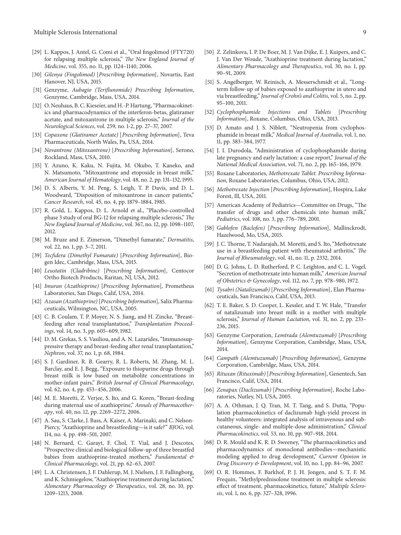- [29] L. Kappos, J. Antel, G. Comi et al., "Oral fingolimod (FTY720) for relapsing multiple sclerosis," *The New England Journal of Medicine*, vol. 355, no. 11, pp. 1124–1140, 2006.
- [30] *Gilenya (Fingolimod)* [*Prescribing Information*], Novartis, East Hanover, NJ, USA, 2015.
- [31] Genzyme, *Aubagio (Teriflunomide) Prescribing Information*, Genzyme, Cambridge, Mass, USA, 2014.
- [32] O. Neuhaus, B. C. Kieseier, and H.-P. Hartung, "Pharmacokinetics and pharmacodynamics of the interferon-betas, glatiramer acetate, and mitoxantrone in multiple sclerosis," *Journal of the Neurological Sciences*, vol. 259, no. 1-2, pp. 27–37, 2007.
- [33] *Copaxone (Glatiramer Acetate)* [*Prescribing Information*], Teva Pharmaceuticals, North Wales, Pa, USA, 2014.
- [34] *Novantrone (Mitoxantrone)* [*Prescribing Information*], Serono, Rockland, Mass, USA, 2010.
- [35] Y. Azuno, K. Kaku, N. Fujita, M. Okubo, T. Kaneko, and N. Matsumoto, "Mitoxantrone and etoposide in breast milk," *American Journal of Hematology*, vol. 48, no. 2, pp. 131–132, 1995.
- [36] D. S. Alberts, Y. M. Peng, S. Leigh, T. P. Davis, and D. L. Woodward, "Disposition of mitoxantrone in cancer patients," *Cancer Research*, vol. 45, no. 4, pp. 1879–1884, 1985.
- [37] R. Gold, L. Kappos, D. L. Arnold et al., "Placebo-controlled phase 3 study of oral BG-12 for relapsing multiple sclerosis," *The New England Journal of Medicine*, vol. 367, no. 12, pp. 1098–1107, 2012.
- [38] M. Bruze and E. Zimerson, "Dimethyl fumarate," *Dermatitis*, vol. 22, no. 1, pp. 3–7, 2011.
- [39] *Tecfidera (Dimethyl Fumarate)* [*Prescribing Information*], Biogen Idec, Cambridge, Mass, USA, 2015.
- [40] *Leustatin (Cladribine)* [*Prescribing Information*], Centocor Ortho Biotech Products, Raritan, NJ, USA, 2012.
- [41] *Imuran (Azathioprine)* [*Prescribing Information*], Prometheus Laboratories, San Diego, Calif, USA, 2014.
- [42] *Azasan (Azathioprine)* [*Prescribing Information*], Salix Pharmaceuticals, Wilmington, NC, USA, 2005.
- [43] C. B. Coulam, T. P. Moyer, N. S. Jiang, and H. Zincke, "Breastfeeding after renal transplantation," *Transplantation Proceedings*, vol. 14, no. 3, pp. 605–609, 1982.
- [44] D. M. Grekas, S. S. Vasiliou, and A. N. Lazarides, "Immunosuppressive therapy and breast-feeding after renal transplantation," *Nephron*, vol. 37, no. 1, p. 68, 1984.
- [45] S. J. Gardiner, R. B. Gearry, R. L. Roberts, M. Zhang, M. L. Barclay, and E. J. Begg, "Exposure to thiopurine drugs through breast milk is low based on metabolite concentrations in mother-infant pairs," *British Journal of Clinical Pharmacology*, vol. 62, no. 4, pp. 453–456, 2006.
- [46] M. E. Moretti, Z. Verjee, S. Ito, and G. Koren, "Breast-feeding during maternal use of azathioprine," *Annals of Pharmacotherapy*, vol. 40, no. 12, pp. 2269–2272, 2006.
- [47] A. Sau, S. Clarke, J. Bass, A. Kaiser, A. Marinaki, and C. Nelson-Piercy, "Azathioprine and breastfeeding—is it safe?" *BJOG*, vol. 114, no. 4, pp. 498–501, 2007.
- [48] N. Bernard, C. Garayt, F. Chol, T. Vial, and J. Descotes, "Prospective clinical and biological follow-up of three breastfed babies from azathioprine-treated mothers," *Fundamental & Clinical Pharmacology*, vol. 21, pp. 62–63, 2007.
- [49] L. A. Christensen, J. F. Dahlerup, M. J. Nielsen, J. F. Fallingborg, and K. Schmiegelow, "Azathioprine treatment during lactation," *Alimentary Pharmacology & Therapeutics*, vol. 28, no. 10, pp. 1209–1213, 2008.
- [50] Z. Zelinkova, I. P. De Boer, M. J. Van Dijke, E. J. Kuipers, and C. J. Van Der Woude, "Azathioprine treatment during lactation," *Alimentary Pharmacology and Therapeutics*, vol. 30, no. 1, pp. 90–91, 2009.
- [51] S. Angelberger, W. Reinisch, A. Messerschmidt et al., "Longterm follow-up of babies exposed to azathioprine in utero and via breastfeeding," *Journal of Crohn's and Colitis*, vol. 5, no. 2, pp. 95–100, 2011.
- [52] *Cyclophosphamide Injections and Tablets* [*Prescribing Information*], Roxane, Columbus, Ohio, USA, 2013.
- [53] D. Amato and J. S. Niblett, "Neutropenia from cyclophosphamide in breast milk," *Medical Journal of Australia*, vol. 1, no. 11, pp. 383–384, 1977.
- [54] J. I. Durodola, "Administration of cyclophosphamide during late pregnancy and early lactation: a case report," *Journal of the National Medical Association*, vol. 71, no. 2, pp. 165–166, 1979.
- [55] Roxane Laboratories, *Methotrexate Tablet. Prescribing Information*, Roxane Laboratories, Columbus, Ohio, USA, 2012.
- [56] *Methotrexate Injection* [*Prescribing Information*], Hospira, Lake Forest, Ill, USA, 2011.
- [57] American Academy of Pediatrics—Committee on Drugs, "The transfer of drugs and other chemicals into human milk," *Pediatrics*, vol. 108, no. 3, pp. 776–789, 2001.
- [58] *Gablofen (Baclofen)* [*Prescribing Information*], Mallinckrodt, Hazelwood, Mo, USA, 2015.
- [59] J. C.Thorne, T. Nadarajah, M. Moretti, and S. Ito, "Methotrexate use in a breastfeeding patient with rheumatoid arthritis," *The Journal of Rheumatology*, vol. 41, no. 11, p. 2332, 2014.
- [60] D. G. Johns, L. D. Rutherford, P. C. Leighton, and C. L. Vogel, "Secretion of methotrexate into human milk," *American Journal of Obstetrics & Gynecology*, vol. 112, no. 7, pp. 978–980, 1972.
- [61] *Tysabri (Natalizumab)* [*Prescribing Information*], Elan Pharmaceuticals, San Francisco, Calif, USA, 2013.
- [62] T. E. Baker, S. D. Cooper, L. Kessler, and T. W. Hale, "Transfer of natalizumab into breast milk in a mother with multiple sclerosis," *Journal of Human Lactation*, vol. 31, no. 2, pp. 233– 236, 2015.
- [63] Genzyme Corporation, *Lemtrada (Alemtuzumab)* [*Prescribing Information*], Genzyme Corporation, Cambridge, Mass, USA, 2014.
- [64] *Campath (Alemtuzumab)* [*Prescribing Information*], Genzyme Corporation, Cambridge, Mass, USA, 2014.
- [65] *Rituxan (Rituximab)* [*Prescribing Information*], Genentech, San Francisco, Calif, USA, 2014.
- [66] *Zenapax (Daclizumab)* [*Prescribing Information*], Roche Laboratories, Nutley, NJ, USA, 2005.
- [67] A. A. Othman, J. Q. Tran, M. T. Tang, and S. Dutta, "Population pharmacokinetics of daclizumab high-yield process in healthy volunteers: integrated analysis of intravenous and subcutaneous, single- and multiple-dose administration," *Clinical Pharmacokinetics*, vol. 53, no. 10, pp. 907–918, 2014.
- [68] D. R. Mould and K. R. D. Sweeney, "The pharmacokinetics and pharmacodynamics of monoclonal antibodies—mechanistic modeling applied to drug development," *Current Opinion in Drug Discovery & Development*, vol. 10, no. 1, pp. 84–96, 2007.
- [69] O. R. Hommes, F. Barkhof, P. J. H. Jongen, and S. T. F. M. Frequin, "Methylprednisolone treatment in multiple sclerosis: effect of treatment, pharmacokinetics, future," *Multiple Sclerosis*, vol. 1, no. 6, pp. 327–328, 1996.